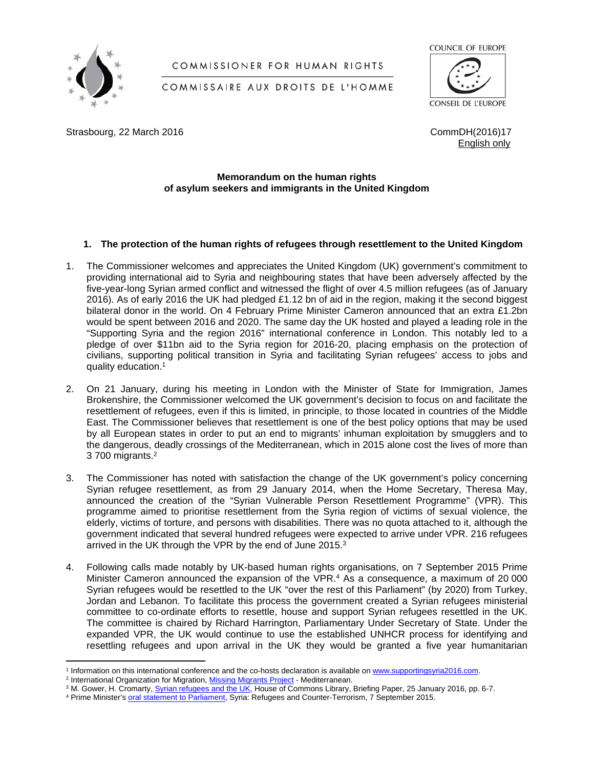

# COMMISSIONER FOR HUMAN RIGHTS

# COMMISSAIRE AUX DROITS DE L'HOMME



Strasbourg, 22 March 2016 **Command Command Command Command Command Common Common Common Common Common Common Common Common Common Common Common Common Common Common Common Common Common Common Common Common Common Common C** 

English only

## **Memorandum on the human rights of asylum seekers and immigrants in the United Kingdom**

## **1. The protection of the human rights of refugees through resettlement to the United Kingdom**

- 1. The Commissioner welcomes and appreciates the United Kingdom (UK) government's commitment to providing international aid to Syria and neighbouring states that have been adversely affected by the five-year-long Syrian armed conflict and witnessed the flight of over 4.5 million refugees (as of January 2016). As of early 2016 the UK had pledged £1.12 bn of aid in the region, making it the second biggest bilateral donor in the world. On 4 February Prime Minister Cameron announced that an extra £1.2bn would be spent between 2016 and 2020. The same day the UK hosted and played a leading role in the "Supporting Syria and the region 2016" international conference in London. This notably led to a pledge of over \$11bn aid to the Syria region for 2016-20, placing emphasis on the protection of civilians, supporting political transition in Syria and facilitating Syrian refugees' access to jobs and quality education.<sup>1</sup>
- 2. On 21 January, during his meeting in London with the Minister of State for Immigration, James Brokenshire, the Commissioner welcomed the UK government's decision to focus on and facilitate the resettlement of refugees, even if this is limited, in principle, to those located in countries of the Middle East. The Commissioner believes that resettlement is one of the best policy options that may be used by all European states in order to put an end to migrants' inhuman exploitation by smugglers and to the dangerous, deadly crossings of the Mediterranean, which in 2015 alone cost the lives of more than 3 700 migrants.<sup>2</sup>
- 3. The Commissioner has noted with satisfaction the change of the UK government's policy concerning Syrian refugee resettlement, as from 29 January 2014, when the Home Secretary, Theresa May, announced the creation of the "Syrian Vulnerable Person Resettlement Programme" (VPR). This programme aimed to prioritise resettlement from the Syria region of victims of sexual violence, the elderly, victims of torture, and persons with disabilities. There was no quota attached to it, although the government indicated that several hundred refugees were expected to arrive under VPR. 216 refugees arrived in the UK through the VPR by the end of June 2015.<sup>3</sup>
- 4. Following calls made notably by UK-based human rights organisations, on 7 September 2015 Prime Minister Cameron announced the expansion of the VPR.<sup>4</sup> As a consequence, a maximum of 20 000 Syrian refugees would be resettled to the UK "over the rest of this Parliament" (by 2020) from Turkey, Jordan and Lebanon. To facilitate this process the government created a Syrian refugees ministerial committee to co-ordinate efforts to resettle, house and support Syrian refugees resettled in the UK. The committee is chaired by Richard Harrington, Parliamentary Under Secretary of State. Under the expanded VPR, the UK would continue to use the established UNHCR process for identifying and resettling refugees and upon arrival in the UK they would be granted a five year humanitarian

<sup>&</sup>lt;sup>1</sup> Information on this international conference and the co-hosts declaration is available on [www.supportingsyria2016.com](http://www.supportingsyria2016.com).

<sup>&</sup>lt;sup>2</sup> International Organization for Migration, **Missing Migrants Project** - Mediterranean.

<sup>&</sup>lt;sup>3</sup> M. Gower, H. Cromarty, <u>[Syrian refugees and the UK](http://researchbriefings.files.parliament.uk/documents/SN06805/SN06805.pdf),</u> House of Commons Library, Briefing Paper, 25 January 2016, pp. 6-7.

<sup>&</sup>lt;sup>4</sup> Prime Minister's [oral statement to Parliament](https://www.gov.uk/government/speeches/syria-refugees-and-counter-terrorism-prime-ministers-statement), Syria: Refugees and Counter-Terrorism, 7 September 2015.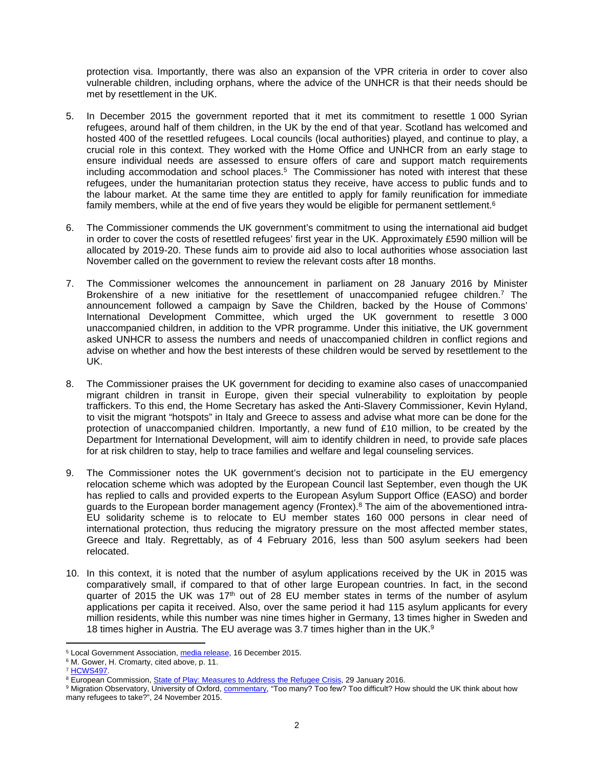protection visa. Importantly, there was also an expansion of the VPR criteria in order to cover also vulnerable children, including orphans, where the advice of the UNHCR is that their needs should be met by resettlement in the UK.

- 5. In December 2015 the government reported that it met its commitment to resettle 1 000 Syrian refugees, around half of them children, in the UK by the end of that year. Scotland has welcomed and hosted 400 of the resettled refugees. Local councils (local authorities) played, and continue to play, a crucial role in this context. They worked with the Home Office and UNHCR from an early stage to ensure individual needs are assessed to ensure offers of care and support match requirements including accommodation and school places.<sup>5</sup> The Commissioner has noted with interest that these refugees, under the humanitarian protection status they receive, have access to public funds and to the labour market. At the same time they are entitled to apply for family reunification for immediate family members, while at the end of five years they would be eligible for permanent settlement.<sup>6</sup>
- 6. The Commissioner commends the UK government's commitment to using the international aid budget in order to cover the costs of resettled refugees' first year in the UK. Approximately £590 million will be allocated by 2019-20. These funds aim to provide aid also to local authorities whose association last November called on the government to review the relevant costs after 18 months.
- 7. The Commissioner welcomes the announcement in parliament on 28 January 2016 by Minister Brokenshire of a new initiative for the resettlement of unaccompanied refugee children.<sup>7</sup> The announcement followed a campaign by Save the Children, backed by the House of Commons' International Development Committee, which urged the UK government to resettle 3 000 unaccompanied children, in addition to the VPR programme. Under this initiative, the UK government asked UNHCR to assess the numbers and needs of unaccompanied children in conflict regions and advise on whether and how the best interests of these children would be served by resettlement to the UK.
- 8. The Commissioner praises the UK government for deciding to examine also cases of unaccompanied migrant children in transit in Europe, given their special vulnerability to exploitation by people traffickers. To this end, the Home Secretary has asked the Anti-Slavery Commissioner, Kevin Hyland, to visit the migrant "hotspots" in Italy and Greece to assess and advise what more can be done for the protection of unaccompanied children. Importantly, a new fund of £10 million, to be created by the Department for International Development, will aim to identify children in need, to provide safe places for at risk children to stay, help to trace families and welfare and legal counseling services.
- 9. The Commissioner notes the UK government's decision not to participate in the EU emergency relocation scheme which was adopted by the European Council last September, even though the UK has replied to calls and provided experts to the European Asylum Support Office (EASO) and border guards to the European border management agency (Frontex).<sup>8</sup> The aim of the abovementioned intra-EU solidarity scheme is to relocate to EU member states 160 000 persons in clear need of international protection, thus reducing the migratory pressure on the most affected member states, Greece and Italy. Regrettably, as of 4 February 2016, less than 500 asylum seekers had been relocated.
- 10. In this context, it is noted that the number of asylum applications received by the UK in 2015 was comparatively small, if compared to that of other large European countries. In fact, in the second quarter of 2015 the UK was 17<sup>th</sup> out of 28 EU member states in terms of the number of asylum applications per capita it received. Also, over the same period it had 115 asylum applicants for every million residents, while this number was nine times higher in Germany, 13 times higher in Sweden and 18 times higher in Austria. The EU average was 3.7 times higher than in the UK.<sup>9</sup>

<sup>&</sup>lt;sup>5</sup> Local Government Association, *[media release](http://www.local.gov.uk/media-releases/-/journal_content/56/10180/7615705?_56_INSTANCE_0000_templateId=NEWS)*, 16 December 2015.

<sup>6</sup> M. Gower, H. Cromarty, cited above, p. 11.

<sup>7</sup> [HCWS497.](http://www.parliament.uk/business/publications/written-questions-answers-statements/written-statement/Commons/2016-01-28/HCWS497/)

<sup>&</sup>lt;sup>8</sup> European Commission, [State of Play: Measures to Address the Refugee Crisis,](http://europa.eu/rapid/press-release_IP-15-6134_en.htm) 29 January 2016.

<sup>&</sup>lt;sup>9</sup> Migration Observatory, University of Oxford, <u>[commentary,](http://www.migrationobservatory.ox.ac.uk/commentary/too-many-too-few-too-difficult-how-should-uk-think-about-how-many-refugees-take)</u> "Too many? Too few? Too difficult? How should the UK think about how many refugees to take?", 24 November 2015.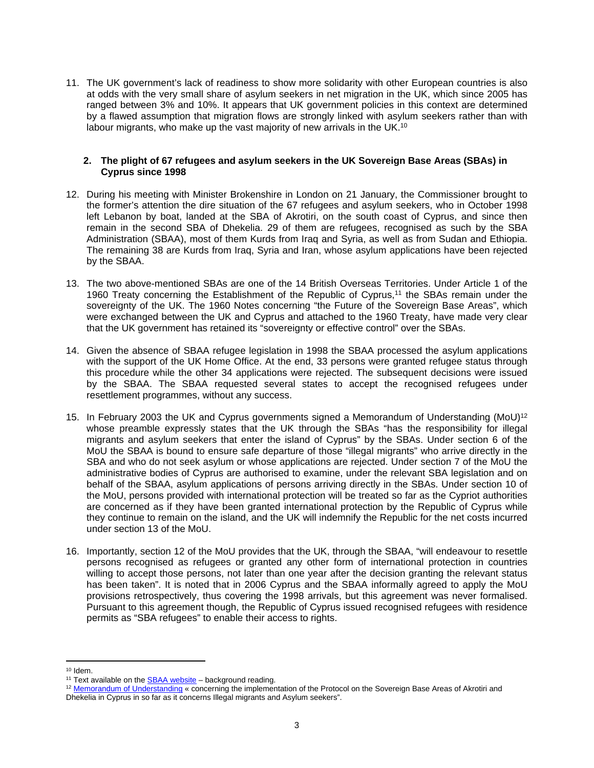11. The UK government's lack of readiness to show more solidarity with other European countries is also at odds with the very small share of asylum seekers in net migration in the UK, which since 2005 has ranged between 3% and 10%. It appears that UK government policies in this context are determined by a flawed assumption that migration flows are strongly linked with asylum seekers rather than with labour migrants, who make up the vast majority of new arrivals in the UK.<sup>10</sup>

#### **2. The plight of 67 refugees and asylum seekers in the UK Sovereign Base Areas (SBAs) in Cyprus since 1998**

- 12. During his meeting with Minister Brokenshire in London on 21 January, the Commissioner brought to the former's attention the dire situation of the 67 refugees and asylum seekers, who in October 1998 left Lebanon by boat, landed at the SBA of Akrotiri, on the south coast of Cyprus, and since then remain in the second SBA of Dhekelia. 29 of them are refugees, recognised as such by the SBA Administration (SBAA), most of them Kurds from Iraq and Syria, as well as from Sudan and Ethiopia. The remaining 38 are Kurds from Iraq, Syria and Iran, whose asylum applications have been rejected by the SBAA.
- 13. The two above-mentioned SBAs are one of the 14 British Overseas Territories. Under Article 1 of the 1960 Treaty concerning the Establishment of the Republic of Cyprus,<sup>11</sup> the SBAs remain under the sovereignty of the UK. The 1960 Notes concerning "the Future of the Sovereign Base Areas", which were exchanged between the UK and Cyprus and attached to the 1960 Treaty, have made very clear that the UK government has retained its "sovereignty or effective control" over the SBAs.
- 14. Given the absence of SBAA refugee legislation in 1998 the SBAA processed the asylum applications with the support of the UK Home Office. At the end, 33 persons were granted refugee status through this procedure while the other 34 applications were rejected. The subsequent decisions were issued by the SBAA. The SBAA requested several states to accept the recognised refugees under resettlement programmes, without any success.
- 15. In February 2003 the UK and Cyprus governments signed a Memorandum of Understanding (MoU)<sup>12</sup> whose preamble expressly states that the UK through the SBAs "has the responsibility for illegal migrants and asylum seekers that enter the island of Cyprus" by the SBAs. Under section 6 of the MoU the SBAA is bound to ensure safe departure of those "illegal migrants" who arrive directly in the SBA and who do not seek asylum or whose applications are rejected. Under section 7 of the MoU the administrative bodies of Cyprus are authorised to examine, under the relevant SBA legislation and on behalf of the SBAA, asylum applications of persons arriving directly in the SBAs. Under section 10 of the MoU, persons provided with international protection will be treated so far as the Cypriot authorities are concerned as if they have been granted international protection by the Republic of Cyprus while they continue to remain on the island, and the UK will indemnify the Republic for the net costs incurred under section 13 of the MoU.
- 16. Importantly, section 12 of the MoU provides that the UK, through the SBAA, "will endeavour to resettle persons recognised as refugees or granted any other form of international protection in countries willing to accept those persons, not later than one year after the decision granting the relevant status has been taken". It is noted that in 2006 Cyprus and the SBAA informally agreed to apply the MoU provisions retrospectively, thus covering the 1998 arrivals, but this agreement was never formalised. Pursuant to this agreement though, the Republic of Cyprus issued recognised refugees with residence permits as "SBA refugees" to enable their access to rights.

<sup>10</sup> Idem.

<sup>&</sup>lt;sup>11</sup> Text available on the [SBAA website](http://www.sbaadministration.org/)  $-$  background reading.

<sup>12</sup> [Memorandum of Understanding](http://kisa.org.cy/wp-content/uploads/2015/10/MOU.tif.pdf) « concerning the implementation of the Protocol on the Sovereign Base Areas of Akrotiri and Dhekelia in Cyprus in so far as it concerns Illegal migrants and Asylum seekers".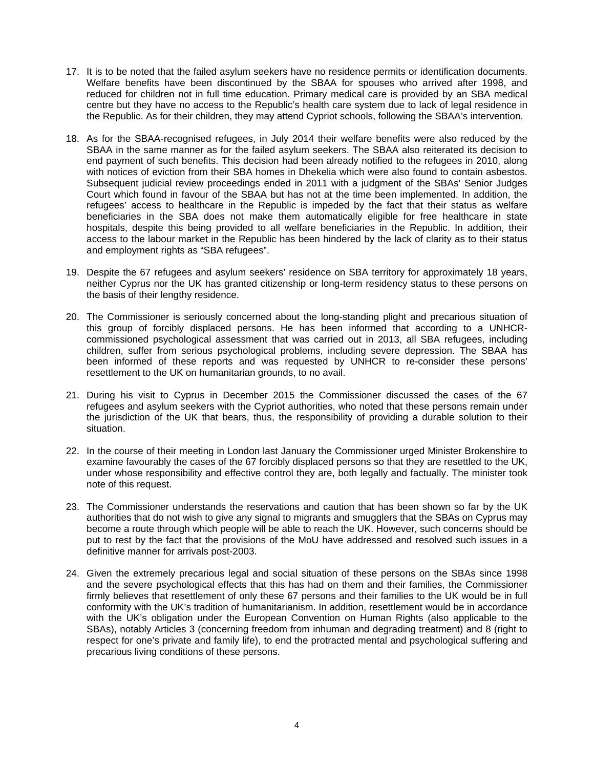- 17. It is to be noted that the failed asylum seekers have no residence permits or identification documents. Welfare benefits have been discontinued by the SBAA for spouses who arrived after 1998, and reduced for children not in full time education. Primary medical care is provided by an SBA medical centre but they have no access to the Republic's health care system due to lack of legal residence in the Republic. As for their children, they may attend Cypriot schools, following the SBAA's intervention.
- 18. As for the SBAA-recognised refugees, in July 2014 their welfare benefits were also reduced by the SBAA in the same manner as for the failed asylum seekers. The SBAA also reiterated its decision to end payment of such benefits. This decision had been already notified to the refugees in 2010, along with notices of eviction from their SBA homes in Dhekelia which were also found to contain asbestos. Subsequent judicial review proceedings ended in 2011 with a judgment of the SBAs' Senior Judges Court which found in favour of the SBAA but has not at the time been implemented. In addition, the refugees' access to healthcare in the Republic is impeded by the fact that their status as welfare beneficiaries in the SBA does not make them automatically eligible for free healthcare in state hospitals, despite this being provided to all welfare beneficiaries in the Republic. In addition, their access to the labour market in the Republic has been hindered by the lack of clarity as to their status and employment rights as "SBA refugees".
- 19. Despite the 67 refugees and asylum seekers' residence on SBA territory for approximately 18 years, neither Cyprus nor the UK has granted citizenship or long-term residency status to these persons on the basis of their lengthy residence.
- 20. The Commissioner is seriously concerned about the long-standing plight and precarious situation of this group of forcibly displaced persons. He has been informed that according to a UNHCRcommissioned psychological assessment that was carried out in 2013, all SBA refugees, including children, suffer from serious psychological problems, including severe depression. The SBAA has been informed of these reports and was requested by UNHCR to re-consider these persons' resettlement to the UK on humanitarian grounds, to no avail.
- 21. During his visit to Cyprus in December 2015 the Commissioner discussed the cases of the 67 refugees and asylum seekers with the Cypriot authorities, who noted that these persons remain under the jurisdiction of the UK that bears, thus, the responsibility of providing a durable solution to their situation.
- 22. In the course of their meeting in London last January the Commissioner urged Minister Brokenshire to examine favourably the cases of the 67 forcibly displaced persons so that they are resettled to the UK, under whose responsibility and effective control they are, both legally and factually. The minister took note of this request.
- 23. The Commissioner understands the reservations and caution that has been shown so far by the UK authorities that do not wish to give any signal to migrants and smugglers that the SBAs on Cyprus may become a route through which people will be able to reach the UK. However, such concerns should be put to rest by the fact that the provisions of the MoU have addressed and resolved such issues in a definitive manner for arrivals post-2003.
- 24. Given the extremely precarious legal and social situation of these persons on the SBAs since 1998 and the severe psychological effects that this has had on them and their families, the Commissioner firmly believes that resettlement of only these 67 persons and their families to the UK would be in full conformity with the UK's tradition of humanitarianism. In addition, resettlement would be in accordance with the UK's obligation under the European Convention on Human Rights (also applicable to the SBAs), notably Articles 3 (concerning freedom from inhuman and degrading treatment) and 8 (right to respect for one's private and family life), to end the protracted mental and psychological suffering and precarious living conditions of these persons.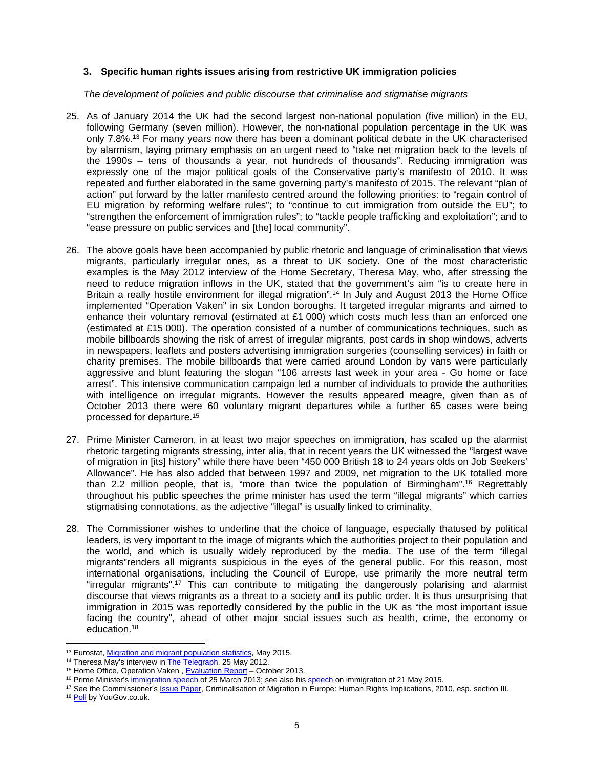#### **3. Specific human rights issues arising from restrictive UK immigration policies**

*The development of policies and public discourse that criminalise and stigmatise migrants* 

- 25. As of January 2014 the UK had the second largest non-national population (five million) in the EU, following Germany (seven million). However, the non-national population percentage in the UK was only 7.8%.<sup>13</sup> For many years now there has been a dominant political debate in the UK characterised by alarmism, laying primary emphasis on an urgent need to "take net migration back to the levels of the 1990s – tens of thousands a year, not hundreds of thousands". Reducing immigration was expressly one of the major political goals of the Conservative party's manifesto of 2010. It was repeated and further elaborated in the same governing party's manifesto of 2015. The relevant "plan of action" put forward by the latter manifesto centred around the following priorities: to "regain control of EU migration by reforming welfare rules"; to "continue to cut immigration from outside the EU"; to "strengthen the enforcement of immigration rules"; to "tackle people trafficking and exploitation"; and to "ease pressure on public services and [the] local community".
- 26. The above goals have been accompanied by public rhetoric and language of criminalisation that views migrants, particularly irregular ones, as a threat to UK society. One of the most characteristic examples is the May 2012 interview of the Home Secretary, Theresa May, who, after stressing the need to reduce migration inflows in the UK, stated that the government's aim "is to create here in Britain a really hostile environment for illegal migration".<sup>14</sup> In July and August 2013 the Home Office implemented "Operation Vaken" in six London boroughs. It targeted irregular migrants and aimed to enhance their voluntary removal (estimated at  $£1000$ ) which costs much less than an enforced one (estimated at £15 000). The operation consisted of a number of communications techniques, such as mobile billboards showing the risk of arrest of irregular migrants, post cards in shop windows, adverts in newspapers, leaflets and posters advertising immigration surgeries (counselling services) in faith or charity premises. The mobile billboards that were carried around London by vans were particularly aggressive and blunt featuring the slogan "106 arrests last week in your area - Go home or face arrest". This intensive communication campaign led a number of individuals to provide the authorities with intelligence on irregular migrants. However the results appeared meagre, given than as of October 2013 there were 60 voluntary migrant departures while a further 65 cases were being processed for departure.<sup>15</sup>
- 27. Prime Minister Cameron, in at least two major speeches on immigration, has scaled up the alarmist rhetoric targeting migrants stressing, inter alia, that in recent years the UK witnessed the "largest wave of migration in [its] history" while there have been "450 000 British 18 to 24 years olds on Job Seekers' Allowance". He has also added that between 1997 and 2009, net migration to the UK totalled more than 2.2 million people, that is, "more than twice the population of Birmingham".<sup>16</sup> Regrettably throughout his public speeches the prime minister has used the term "illegal migrants" which carries stigmatising connotations, as the adjective "illegal" is usually linked to criminality.
- 28. The Commissioner wishes to underline that the choice of language, especially thatused by political leaders, is very important to the image of migrants which the authorities project to their population and the world, and which is usually widely reproduced by the media. The use of the term "illegal migrants"renders all migrants suspicious in the eyes of the general public. For this reason, most international organisations, including the Council of Europe, use primarily the more neutral term "irregular migrants".<sup>17</sup> This can contribute to mitigating the dangerously polarising and alarmist discourse that views migrants as a threat to a society and its public order. It is thus unsurprising that immigration in 2015 was reportedly considered by the public in the UK as "the most important issue facing the country", ahead of other major social issues such as health, crime, the economy or education.<sup>18</sup>

<sup>13</sup> Eurostat, [Migration and migrant population statistics](http://ec.europa.eu/eurostat/statistics-explained/index.php/Migration_and_migrant_population_statistics), May 2015.

<sup>&</sup>lt;sup>14</sup> Theresa May's interview in **The Telegraph**, 25 May 2012.

<sup>&</sup>lt;sup>15</sup> Home Office, Operation Vaken, **Evaluation Report** – October 2013.

<sup>&</sup>lt;sup>16</sup> Prime Minister's [immigration speech](https://www.gov.uk/government/speeches/david-camerons-immigration-speech) of 25 March 2013; see also his [speech](https://www.gov.uk/government/speeches/pm-speech-on-immigration) on immigration of 21 May 2015.

<sup>&</sup>lt;sup>17</sup> See the Commissioner's [Issue Paper](https://wcd.coe.int/com.instranet.InstraServlet?Index=no&command=com.instranet.CmdBlobGet&InstranetImage=1674040&SecMode=1&DocId=1535524&Usage=2), Criminalisation of Migration in Europe: Human Rights Implications, 2010, esp. section III.

<sup>18</sup> [Poll](https://d25d2506sfb94s.cloudfront.net/cumulus_uploads/document/81ewaf2bx0/YG%20Trackers-Issues%202-Most-Important-Issues-070115_W.pdf) by YouGov.co.uk.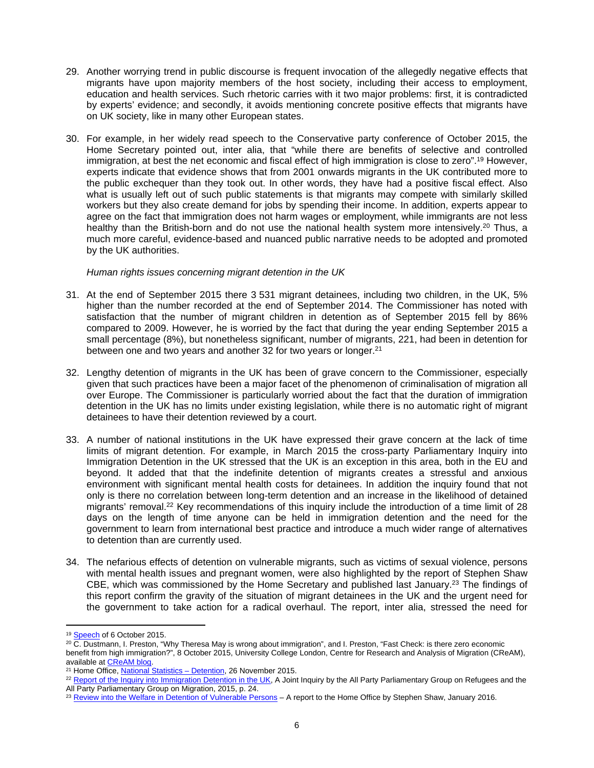- 29. Another worrying trend in public discourse is frequent invocation of the allegedly negative effects that migrants have upon majority members of the host society, including their access to employment, education and health services. Such rhetoric carries with it two major problems: first, it is contradicted by experts' evidence; and secondly, it avoids mentioning concrete positive effects that migrants have on UK society, like in many other European states.
- 30. For example, in her widely read speech to the Conservative party conference of October 2015, the Home Secretary pointed out, inter alia, that "while there are benefits of selective and controlled immigration, at best the net economic and fiscal effect of high immigration is close to zero".<sup>19</sup> However, experts indicate that evidence shows that from 2001 onwards migrants in the UK contributed more to the public exchequer than they took out. In other words, they have had a positive fiscal effect. Also what is usually left out of such public statements is that migrants may compete with similarly skilled workers but they also create demand for jobs by spending their income. In addition, experts appear to agree on the fact that immigration does not harm wages or employment, while immigrants are not less healthy than the British-born and do not use the national health system more intensively.<sup>20</sup> Thus, a much more careful, evidence-based and nuanced public narrative needs to be adopted and promoted by the UK authorities.

#### *Human rights issues concerning migrant detention in the UK*

- 31. At the end of September 2015 there 3 531 migrant detainees, including two children, in the UK, 5% higher than the number recorded at the end of September 2014. The Commissioner has noted with satisfaction that the number of migrant children in detention as of September 2015 fell by 86% compared to 2009. However, he is worried by the fact that during the year ending September 2015 a small percentage (8%), but nonetheless significant, number of migrants, 221, had been in detention for between one and two years and another 32 for two years or longer.<sup>21</sup>
- 32. Lengthy detention of migrants in the UK has been of grave concern to the Commissioner, especially given that such practices have been a major facet of the phenomenon of criminalisation of migration all over Europe. The Commissioner is particularly worried about the fact that the duration of immigration detention in the UK has no limits under existing legislation, while there is no automatic right of migrant detainees to have their detention reviewed by a court.
- 33. A number of national institutions in the UK have expressed their grave concern at the lack of time limits of migrant detention. For example, in March 2015 the cross-party Parliamentary Inquiry into Immigration Detention in the UK stressed that the UK is an exception in this area, both in the EU and beyond. It added that that the indefinite detention of migrants creates a stressful and anxious environment with significant mental health costs for detainees. In addition the inquiry found that not only is there no correlation between long-term detention and an increase in the likelihood of detained migrants' removal.<sup>22</sup> Key recommendations of this inquiry include the introduction of a time limit of 28 days on the length of time anyone can be held in immigration detention and the need for the government to learn from international best practice and introduce a much wider range of alternatives to detention than are currently used.
- 34. The nefarious effects of detention on vulnerable migrants, such as victims of sexual violence, persons with mental health issues and pregnant women, were also highlighted by the report of Stephen Shaw CBE, which was commissioned by the Home Secretary and published last January.<sup>23</sup> The findings of this report confirm the gravity of the situation of migrant detainees in the UK and the urgent need for the government to take action for a radical overhaul. The report, inter alia, stressed the need for

<sup>19</sup> [Speech](http://www.independent.co.uk/news/uk/politics/theresa-may-s-speech-to-the-conservative-party-conference-in-full-a6681901.html) of 6 October 2015.

 $20$  C. Dustmann, I. Preston, "Why Theresa May is wrong about immigration", and I. Preston, "Fast Check: is there zero economic benefit from high immigration?", 8 October 2015, University College London, Centre for Research and Analysis of Migration (CReAM), available at [CReAM blog](http://www.cream-migration.org/comments.php).

<sup>21</sup> Home Office, [National Statistics – Detention](https://www.gov.uk/government/publications/immigration-statistics-july-to-september-2015/detention), 26 November 2015.

<sup>&</sup>lt;sup>22</sup> [Report of the Inquiry into Immigration Detention in the UK](https://detentioninquiry.files.wordpress.com/2015/03/immigration-detention-inquiry-report.pdf), A Joint Inquiry by the All Party Parliamentary Group on Refugees and the All Party Parliamentary Group on Migration, 2015, p. 24.

<sup>&</sup>lt;sup>23</sup> [Review into the Welfare in Detention of Vulnerable Persons](https://www.gov.uk/government/uploads/system/uploads/attachment_data/file/490782/52532_Shaw_Review_Accessible.pdf) - A report to the Home Office by Stephen Shaw, January 2016.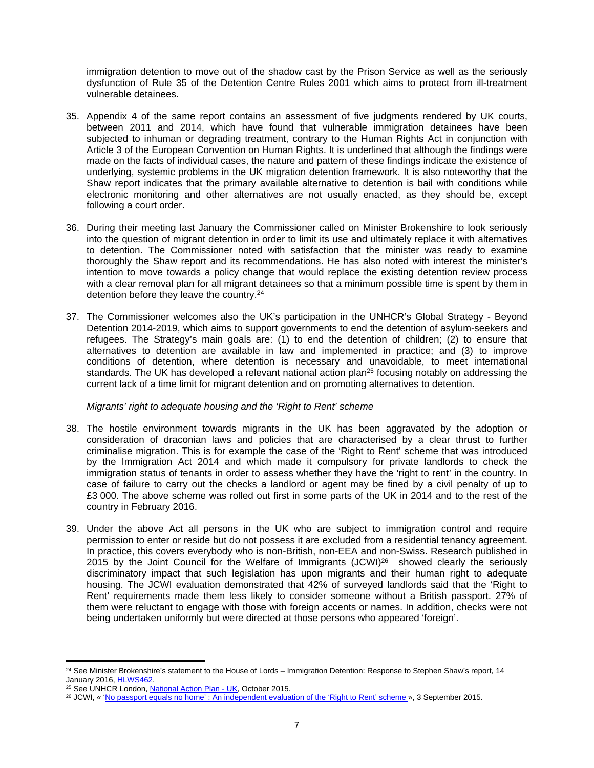immigration detention to move out of the shadow cast by the Prison Service as well as the seriously dysfunction of Rule 35 of the Detention Centre Rules 2001 which aims to protect from ill-treatment vulnerable detainees.

- 35. Appendix 4 of the same report contains an assessment of five judgments rendered by UK courts, between 2011 and 2014, which have found that vulnerable immigration detainees have been subjected to inhuman or degrading treatment, contrary to the Human Rights Act in conjunction with Article 3 of the European Convention on Human Rights. It is underlined that although the findings were made on the facts of individual cases, the nature and pattern of these findings indicate the existence of underlying, systemic problems in the UK migration detention framework. It is also noteworthy that the Shaw report indicates that the primary available alternative to detention is bail with conditions while electronic monitoring and other alternatives are not usually enacted, as they should be, except following a court order.
- 36. During their meeting last January the Commissioner called on Minister Brokenshire to look seriously into the question of migrant detention in order to limit its use and ultimately replace it with alternatives to detention. The Commissioner noted with satisfaction that the minister was ready to examine thoroughly the Shaw report and its recommendations. He has also noted with interest the minister's intention to move towards a policy change that would replace the existing detention review process with a clear removal plan for all migrant detainees so that a minimum possible time is spent by them in detention before they leave the country.<sup>24</sup>
- 37. The Commissioner welcomes also the UK's participation in the UNHCR's Global Strategy Beyond Detention 2014-2019, which aims to support governments to end the detention of asylum-seekers and refugees. The Strategy's main goals are: (1) to end the detention of children; (2) to ensure that alternatives to detention are available in law and implemented in practice; and (3) to improve conditions of detention, where detention is necessary and unavoidable, to meet international standards. The UK has developed a relevant national action plan<sup>25</sup> focusing notably on addressing the current lack of a time limit for migrant detention and on promoting alternatives to detention.

#### *Migrants' right to adequate housing and the 'Right to Rent' scheme*

- 38. The hostile environment towards migrants in the UK has been aggravated by the adoption or consideration of draconian laws and policies that are characterised by a clear thrust to further criminalise migration. This is for example the case of the 'Right to Rent' scheme that was introduced by the Immigration Act 2014 and which made it compulsory for private landlords to check the immigration status of tenants in order to assess whether they have the 'right to rent' in the country. In case of failure to carry out the checks a landlord or agent may be fined by a civil penalty of up to £3 000. The above scheme was rolled out first in some parts of the UK in 2014 and to the rest of the country in February 2016.
- 39. Under the above Act all persons in the UK who are subject to immigration control and require permission to enter or reside but do not possess it are excluded from a residential tenancy agreement. In practice, this covers everybody who is non-British, non-EEA and non-Swiss. Research published in 2015 by the Joint Council for the Welfare of Immigrants  $(JCWI)^{26}$  showed clearly the seriously discriminatory impact that such legislation has upon migrants and their human right to adequate housing. The JCWI evaluation demonstrated that 42% of surveyed landlords said that the 'Right to Rent' requirements made them less likely to consider someone without a British passport. 27% of them were reluctant to engage with those with foreign accents or names. In addition, checks were not being undertaken uniformly but were directed at those persons who appeared 'foreign'.

<sup>&</sup>lt;sup>24</sup> See Minister Brokenshire's statement to the House of Lords – Immigration Detention: Response to Stephen Shaw's report, 14 January 2016, [HLWS462](http://www.parliament.uk/business/publications/written-questions-answers-statements/written-statement/Lords/2016-01-14/HLWS462/).

<sup>&</sup>lt;sup>25</sup> See UNHCR London, [National Action Plan - UK,](http://www.unhcr.org/5631ee629.html) October 2015.

<sup>26</sup> JCWI, « ['No passport equals no home' : An independent evaluation of the 'Right to Rent' scheme »](http://www.jcwi.org.uk/sites/default/files/No%20Passport%20Equals%20No%20Home.pdf), 3 September 2015.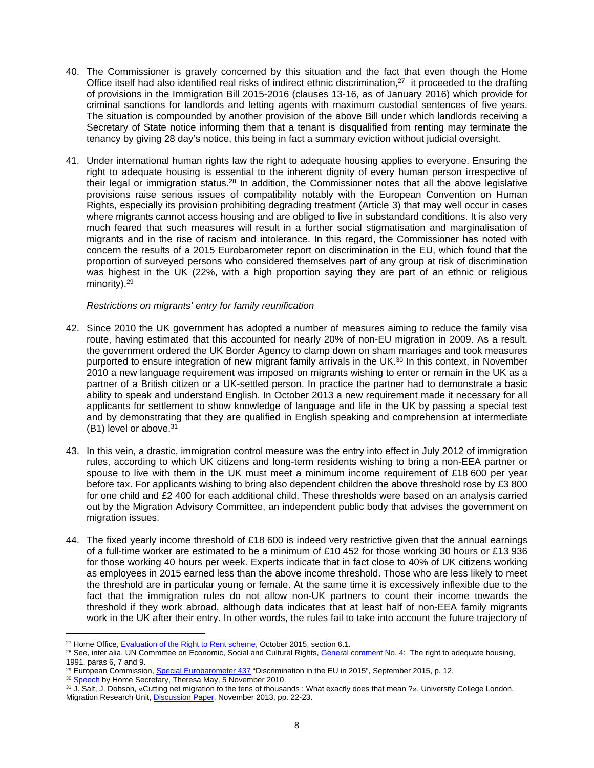- 40. The Commissioner is gravely concerned by this situation and the fact that even though the Home Office itself had also identified real risks of indirect ethnic discrimination,<sup>27</sup> it proceeded to the drafting of provisions in the Immigration Bill 2015-2016 (clauses 13-16, as of January 2016) which provide for criminal sanctions for landlords and letting agents with maximum custodial sentences of five years. The situation is compounded by another provision of the above Bill under which landlords receiving a Secretary of State notice informing them that a tenant is disqualified from renting may terminate the tenancy by giving 28 day's notice, this being in fact a summary eviction without judicial oversight.
- 41. Under international human rights law the right to adequate housing applies to everyone. Ensuring the right to adequate housing is essential to the inherent dignity of every human person irrespective of their legal or immigration status.<sup>28</sup> In addition, the Commissioner notes that all the above legislative provisions raise serious issues of compatibility notably with the European Convention on Human Rights, especially its provision prohibiting degrading treatment (Article 3) that may well occur in cases where migrants cannot access housing and are obliged to live in substandard conditions. It is also very much feared that such measures will result in a further social stigmatisation and marginalisation of migrants and in the rise of racism and intolerance. In this regard, the Commissioner has noted with concern the results of a 2015 Eurobarometer report on discrimination in the EU, which found that the proportion of surveyed persons who considered themselves part of any group at risk of discrimination was highest in the UK (22%, with a high proportion saying they are part of an ethnic or religious minority).<sup>29</sup>

#### *Restrictions on migrants' entry for family reunification*

- 42. Since 2010 the UK government has adopted a number of measures aiming to reduce the family visa route, having estimated that this accounted for nearly 20% of non-EU migration in 2009. As a result, the government ordered the UK Border Agency to clamp down on sham marriages and took measures purported to ensure integration of new migrant family arrivals in the UK.<sup>30</sup> In this context, in November 2010 a new language requirement was imposed on migrants wishing to enter or remain in the UK as a partner of a British citizen or a UK-settled person. In practice the partner had to demonstrate a basic ability to speak and understand English. In October 2013 a new requirement made it necessary for all applicants for settlement to show knowledge of language and life in the UK by passing a special test and by demonstrating that they are qualified in English speaking and comprehension at intermediate (B1) level or above.<sup>31</sup>
- 43. In this vein, a drastic, immigration control measure was the entry into effect in July 2012 of immigration rules, according to which UK citizens and long-term residents wishing to bring a non-EEA partner or spouse to live with them in the UK must meet a minimum income requirement of £18 600 per year before tax. For applicants wishing to bring also dependent children the above threshold rose by £3 800 for one child and £2 400 for each additional child. These thresholds were based on an analysis carried out by the Migration Advisory Committee, an independent public body that advises the government on migration issues.
- 44. The fixed yearly income threshold of £18 600 is indeed very restrictive given that the annual earnings of a full-time worker are estimated to be a minimum of £10 452 for those working 30 hours or £13 936 for those working 40 hours per week. Experts indicate that in fact close to 40% of UK citizens working as employees in 2015 earned less than the above income threshold. Those who are less likely to meet the threshold are in particular young or female. At the same time it is excessively inflexible due to the fact that the immigration rules do not allow non-UK partners to count their income towards the threshold if they work abroad, although data indicates that at least half of non-EEA family migrants work in the UK after their entry. In other words, the rules fail to take into account the future trajectory of

<sup>&</sup>lt;sup>27</sup> Home Office, [Evaluation of the Right to Rent scheme](https://www.gov.uk/government/uploads/system/uploads/attachment_data/file/468934/horr83.pdf), October 2015, section 6.1.

<sup>&</sup>lt;sup>28</sup> See, inter alia, UN Committee on Economic, Social and Cultural Rights, [General comment No. 4:](http://tbinternet.ohchr.org/_layouts/treatybodyexternal/Download.aspx?symbolno=INT%2fCESCR%2fGEC%2f4758&Lang=en) The right to adequate housing, 1991, paras 6, 7 and 9.

<sup>&</sup>lt;sup>29</sup> European Commission, [Special Eurobarometer 437](http://bookshop.europa.eu/en/discrimination-in-the-eu-in-2015-pbDS0415570/downloads/DS-04-15-570-EN-N/DS0415570ENN_002.pdf?FileName=DS0415570ENN_002.pdf&SKU=DS0415570ENN_PDF&CatalogueNumber=DS-04-15-570-EN-N) "Discrimination in the EU in 2015", September 2015, p. 12.

<sup>&</sup>lt;sup>30</sup> [Speech](https://www.gov.uk/government/speeches/immigration-home-secretarys-speech-of-5-november-2010) by Home Secretary, Theresa May, 5 November 2010.

<sup>31</sup> J. Salt, J. Dobson, «Cutting net migration to the tens of thousands : What exactly does that mean ?», University College London, Migration Research Unit, [Discussion Paper,](https://www.ucl.ac.uk/news/news-articles/1113/Salt_Dobson_291013.pdf) November 2013, pp. 22-23.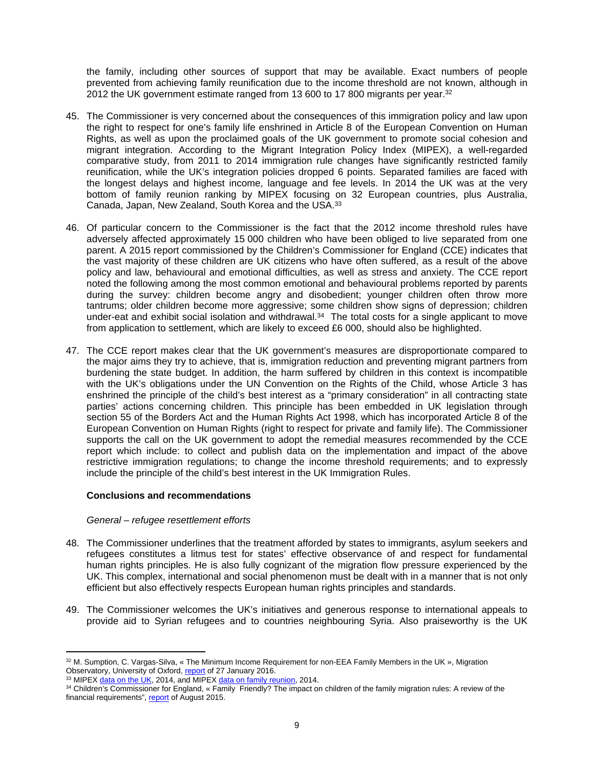the family, including other sources of support that may be available. Exact numbers of people prevented from achieving family reunification due to the income threshold are not known, although in 2012 the UK government estimate ranged from 13 600 to 17 800 migrants per year.<sup>32</sup>

- 45. The Commissioner is very concerned about the consequences of this immigration policy and law upon the right to respect for one's family life enshrined in Article 8 of the European Convention on Human Rights, as well as upon the proclaimed goals of the UK government to promote social cohesion and migrant integration. According to the Migrant Integration Policy Index (MIPEX), a well-regarded comparative study, from 2011 to 2014 immigration rule changes have significantly restricted family reunification, while the UK's integration policies dropped 6 points. Separated families are faced with the longest delays and highest income, language and fee levels. In 2014 the UK was at the very bottom of family reunion ranking by MIPEX focusing on 32 European countries, plus Australia, Canada, Japan, New Zealand, South Korea and the USA.<sup>33</sup>
- 46. Of particular concern to the Commissioner is the fact that the 2012 income threshold rules have adversely affected approximately 15 000 children who have been obliged to live separated from one parent. A 2015 report commissioned by the Children's Commissioner for England (CCE) indicates that the vast majority of these children are UK citizens who have often suffered, as a result of the above policy and law, behavioural and emotional difficulties, as well as stress and anxiety. The CCE report noted the following among the most common emotional and behavioural problems reported by parents during the survey: children become angry and disobedient; younger children often throw more tantrums; older children become more aggressive; some children show signs of depression; children under-eat and exhibit social isolation and withdrawal.<sup>34</sup> The total costs for a single applicant to move from application to settlement, which are likely to exceed £6 000, should also be highlighted.
- 47. The CCE report makes clear that the UK government's measures are disproportionate compared to the major aims they try to achieve, that is, immigration reduction and preventing migrant partners from burdening the state budget. In addition, the harm suffered by children in this context is incompatible with the UK's obligations under the UN Convention on the Rights of the Child, whose Article 3 has enshrined the principle of the child's best interest as a "primary consideration" in all contracting state parties' actions concerning children. This principle has been embedded in UK legislation through section 55 of the Borders Act and the Human Rights Act 1998, which has incorporated Article 8 of the European Convention on Human Rights (right to respect for private and family life). The Commissioner supports the call on the UK government to adopt the remedial measures recommended by the CCE report which include: to collect and publish data on the implementation and impact of the above restrictive immigration regulations; to change the income threshold requirements; and to expressly include the principle of the child's best interest in the UK Immigration Rules.

#### **Conclusions and recommendations**

#### *General – refugee resettlement efforts*

- 48. The Commissioner underlines that the treatment afforded by states to immigrants, asylum seekers and refugees constitutes a litmus test for states' effective observance of and respect for fundamental human rights principles. He is also fully cognizant of the migration flow pressure experienced by the UK. This complex, international and social phenomenon must be dealt with in a manner that is not only efficient but also effectively respects European human rights principles and standards.
- 49. The Commissioner welcomes the UK's initiatives and generous response to international appeals to provide aid to Syrian refugees and to countries neighbouring Syria. Also praiseworthy is the UK

<sup>32</sup> M. Sumption, C. Vargas-Silva, « The Minimum Income Requirement for non-EEA Family Members in the UK », Migration Observatory, University of Oxford, [report](http://www.migrationobservatory.ox.ac.uk/sites/files/migobs/Report%20-%20Minimum%20Family%20Income.pdf) of 27 January 2016.

<sup>&</sup>lt;sup>33</sup> MIPEX [data on the UK](http://www.mipex.eu/united-kingdom), 2014, and MIPEX [data on family reunion](http://www.mipex.eu/family-reunion), 2014.

<sup>34</sup> Children's Commissioner for England, « Family Friendly? The impact on children of the family migration rules: A review of the financial requirements", [report](https://www.childrenscommissioner.gov.uk/sites/default/files/publications/CCO-Family-Friendly-Report-090915.pdf) of August 2015.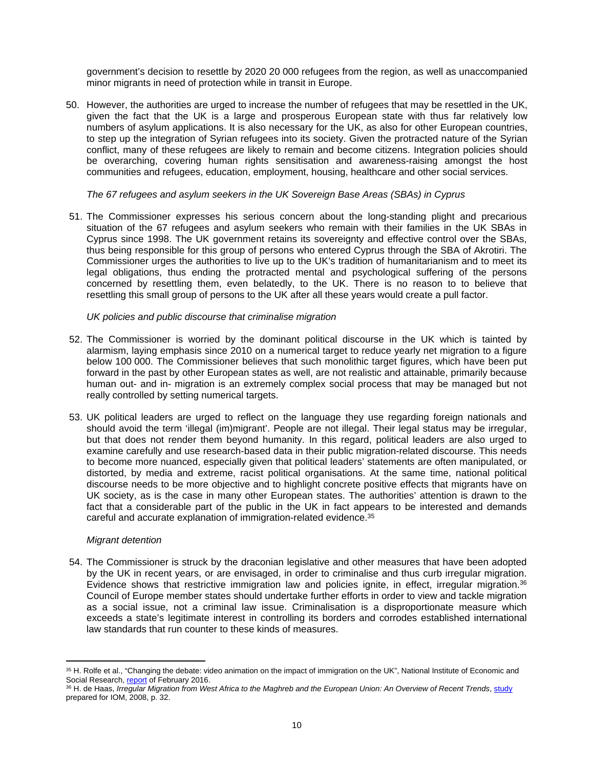government's decision to resettle by 2020 20 000 refugees from the region, as well as unaccompanied minor migrants in need of protection while in transit in Europe.

50. However, the authorities are urged to increase the number of refugees that may be resettled in the UK, given the fact that the UK is a large and prosperous European state with thus far relatively low numbers of asylum applications. It is also necessary for the UK, as also for other European countries, to step up the integration of Syrian refugees into its society. Given the protracted nature of the Syrian conflict, many of these refugees are likely to remain and become citizens. Integration policies should be overarching, covering human rights sensitisation and awareness-raising amongst the host communities and refugees, education, employment, housing, healthcare and other social services.

#### *The 67 refugees and asylum seekers in the UK Sovereign Base Areas (SBAs) in Cyprus*

51. The Commissioner expresses his serious concern about the long-standing plight and precarious situation of the 67 refugees and asylum seekers who remain with their families in the UK SBAs in Cyprus since 1998. The UK government retains its sovereignty and effective control over the SBAs, thus being responsible for this group of persons who entered Cyprus through the SBA of Akrotiri. The Commissioner urges the authorities to live up to the UK's tradition of humanitarianism and to meet its legal obligations, thus ending the protracted mental and psychological suffering of the persons concerned by resettling them, even belatedly, to the UK. There is no reason to to believe that resettling this small group of persons to the UK after all these years would create a pull factor.

## *UK policies and public discourse that criminalise migration*

- 52. The Commissioner is worried by the dominant political discourse in the UK which is tainted by alarmism, laying emphasis since 2010 on a numerical target to reduce yearly net migration to a figure below 100 000. The Commissioner believes that such monolithic target figures, which have been put forward in the past by other European states as well, are not realistic and attainable, primarily because human out- and in- migration is an extremely complex social process that may be managed but not really controlled by setting numerical targets.
- 53. UK political leaders are urged to reflect on the language they use regarding foreign nationals and should avoid the term 'illegal (im)migrant'. People are not illegal. Their legal status may be irregular, but that does not render them beyond humanity. In this regard, political leaders are also urged to examine carefully and use research-based data in their public migration-related discourse. This needs to become more nuanced, especially given that political leaders' statements are often manipulated, or distorted, by media and extreme, racist political organisations. At the same time, national political discourse needs to be more objective and to highlight concrete positive effects that migrants have on UK society, as is the case in many other European states. The authorities' attention is drawn to the fact that a considerable part of the public in the UK in fact appears to be interested and demands careful and accurate explanation of immigration-related evidence.<sup>35</sup>

#### *Migrant detention*

54. The Commissioner is struck by the draconian legislative and other measures that have been adopted by the UK in recent years, or are envisaged, in order to criminalise and thus curb irregular migration. Evidence shows that restrictive immigration law and policies ignite, in effect, irregular migration.<sup>36</sup> Council of Europe member states should undertake further efforts in order to view and tackle migration as a social issue, not a criminal law issue. Criminalisation is a disproportionate measure which exceeds a state's legitimate interest in controlling its borders and corrodes established international law standards that run counter to these kinds of measures.

<sup>35</sup> H. Rolfe et al., "Changing the debate: video animation on the impact of immigration on the UK", National Institute of Economic and Social Research, [report](http://www.niesr.ac.uk/sites/default/files/files/Video%20animation%20full%20report%20to%20CoL(3).pdf) of February 2016.

<sup>36</sup> H. de Haas, *Irregular Migration from West Africa to the Maghreb and the European Union: An Overview of Recent Trends*, [study](http://www.unhcr.org/49e479ca0.pdf) prepared for IOM, 2008, p. 32.